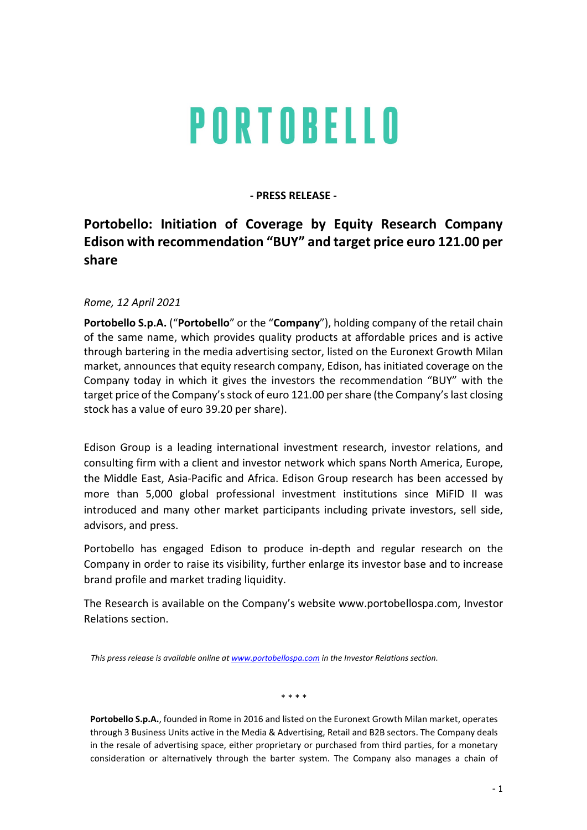## PORTOBELLO

## - PRESS RELEASE -

## Portobello: Initiation of Coverage by Equity Research Company Edison with recommendation "BUY" and target price euro 121.00 per share

Rome, 12 April 2021

Portobello S.p.A. ("Portobello" or the "Company"), holding company of the retail chain of the same name, which provides quality products at affordable prices and is active through bartering in the media advertising sector, listed on the Euronext Growth Milan market, announces that equity research company, Edison, has initiated coverage on the Company today in which it gives the investors the recommendation "BUY" with the target price of the Company's stock of euro 121.00 per share (the Company's last closing stock has a value of euro 39.20 per share).

Edison Group is a leading international investment research, investor relations, and consulting firm with a client and investor network which spans North America, Europe, the Middle East, Asia-Pacific and Africa. Edison Group research has been accessed by more than 5,000 global professional investment institutions since MiFID II was introduced and many other market participants including private investors, sell side, advisors, and press.

Portobello has engaged Edison to produce in-depth and regular research on the Company in order to raise its visibility, further enlarge its investor base and to increase brand profile and market trading liquidity.

The Research is available on the Company's website www.portobellospa.com, Investor Relations section.

This press release is available online at www.portobellospa.com in the Investor Relations section.

\* \* \* \*

Portobello S.p.A., founded in Rome in 2016 and listed on the Euronext Growth Milan market, operates through 3 Business Units active in the Media & Advertising, Retail and B2B sectors. The Company deals in the resale of advertising space, either proprietary or purchased from third parties, for a monetary consideration or alternatively through the barter system. The Company also manages a chain of